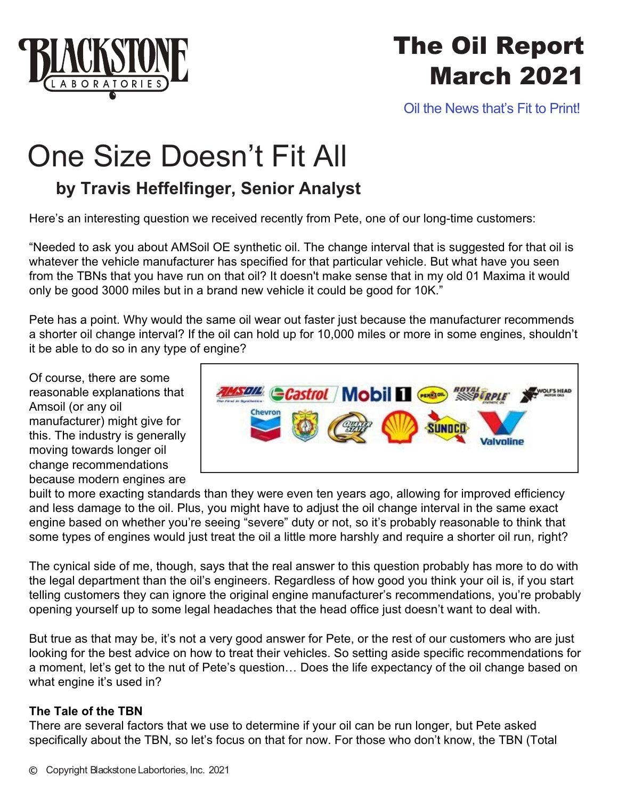

## The Oil Report March 2021

Oil the News that's Fit to Print!

# One Size Doesn't Fit All

## **by Travis Heffelfinger, Senior Analyst**

Here's an interesting question we received recently from Pete, one of our long-time customers:

"Needed to ask you about AMSoil OE synthetic oil. The change interval that is suggested for that oil is whatever the vehicle manufacturer has specified for that particular vehicle. But what have you seen from the TBNs that you have run on that oil? It doesn't make sense that in my old 01 Maxima it would only be good 3000 miles but in a brand new vehicle it could be good for 10K."

Pete has a point. Why would the same oil wear out faster just because the manufacturer recommends a shorter oil change interval? If the oil can hold up for 10,000 miles or more in some engines, shouldn't it be able to do so in any type of engine?

Of course, there are some reasonable explanations that Amsoil (or any oil manufacturer) might give for this. The industry is generally moving towards longer oil change recommendations because modern engines are



built to more exacting standards than they were even ten years ago, allowing for improved efficiency and less damage to the oil. Plus, you might have to adjust the oil change interval in the same exact engine based on whether you're seeing "severe" duty or not, so it's probably reasonable to think that some types of engines would just treat the oil a little more harshly and require a shorter oil run, right?

The cynical side of me, though, says that the real answer to this question probably has more to do with the legal department than the oil's engineers. Regardless of how good you think your oil is, if you start telling customers they can ignore the original engine manufacturer's recommendations, you're probably opening yourself up to some legal headaches that the head office just doesn't want to deal with.

But true as that may be, it's not a very good answer for Pete, or the rest of our customers who are just looking for the best advice on how to treat their vehicles. So setting aside specific recommendations for a moment, let's get to the nut of Pete's question… Does the life expectancy of the oil change based on what engine it's used in?

### **The Tale of the TBN**

There are several factors that we use to determine if your oil can be run longer, but Pete asked specifically about the TBN, so let's focus on that for now. For those who don't know, the TBN (Total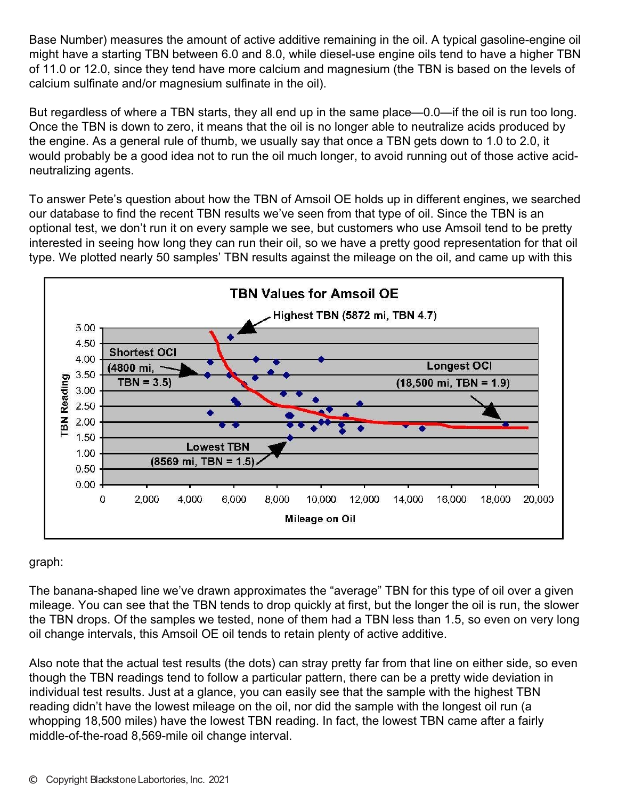Base Number) measures the amount of active additive remaining in the oil. A typical gasoline-engine oil might have a starting TBN between 6.0 and 8.0, while diesel-use engine oils tend to have a higher TBN of 11.0 or 12.0, since they tend have more calcium and magnesium (the TBN is based on the levels of calcium sulfinate and/or magnesium sulfinate in the oil).

But regardless of where a TBN starts, they all end up in the same place—0.0—if the oil is run too long. Once the TBN is down to zero, it means that the oil is no longer able to neutralize acids produced by the engine. As a general rule of thumb, we usually say that once a TBN gets down to 1.0 to 2.0, it would probably be a good idea not to run the oil much longer, to avoid running out of those active acidneutralizing agents.

To answer Pete's question about how the TBN of Amsoil OE holds up in different engines, we searched our database to find the recent TBN results we've seen from that type of oil. Since the TBN is an optional test, we don't run it on every sample we see, but customers who use Amsoil tend to be pretty interested in seeing how long they can run their oil, so we have a pretty good representation for that oil type. We plotted nearly 50 samples' TBN results against the mileage on the oil, and came up with this



graph:

The banana-shaped line we've drawn approximates the "average" TBN for this type of oil over a given mileage. You can see that the TBN tends to drop quickly at first, but the longer the oil is run, the slower the TBN drops. Of the samples we tested, none of them had a TBN less than 1.5, so even on very long oil change intervals, this Amsoil OE oil tends to retain plenty of active additive.

Also note that the actual test results (the dots) can stray pretty far from that line on either side, so even though the TBN readings tend to follow a particular pattern, there can be a pretty wide deviation in individual test results. Just at a glance, you can easily see that the sample with the highest TBN reading didn't have the lowest mileage on the oil, nor did the sample with the longest oil run (a whopping 18,500 miles) have the lowest TBN reading. In fact, the lowest TBN came after a fairly middle-of-the-road 8,569-mile oil change interval.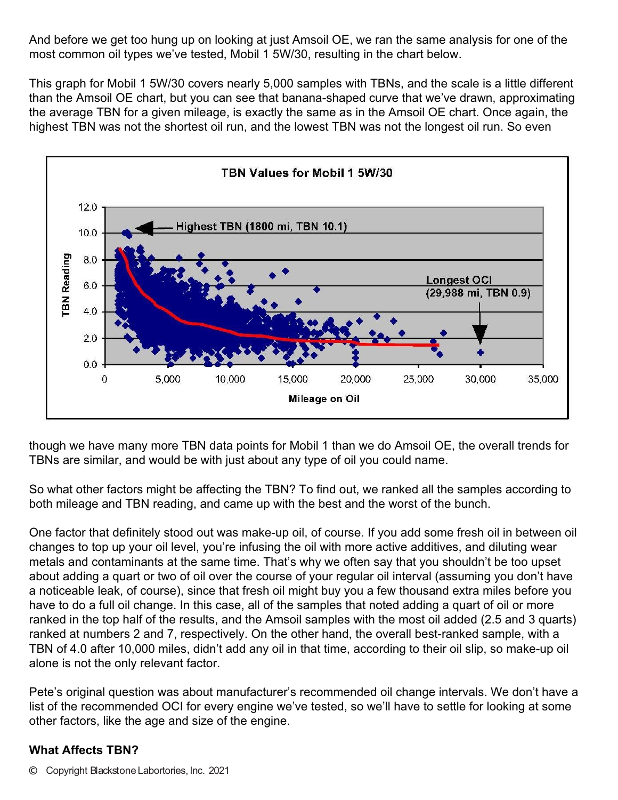And before we get too hung up on looking at just Amsoil OE, we ran the same analysis for one of the most common oil types we've tested, Mobil 1 5W/30, resulting in the chart below.

This graph for Mobil 1 5W/30 covers nearly 5,000 samples with TBNs, and the scale is a little different than the Amsoil OE chart, but you can see that banana-shaped curve that we've drawn, approximating the average TBN for a given mileage, is exactly the same as in the Amsoil OE chart. Once again, the highest TBN was not the shortest oil run, and the lowest TBN was not the longest oil run. So even



though we have many more TBN data points for Mobil 1 than we do Amsoil OE, the overall trends for TBNs are similar, and would be with just about any type of oil you could name.

So what other factors might be affecting the TBN? To find out, we ranked all the samples according to both mileage and TBN reading, and came up with the best and the worst of the bunch.

One factor that definitely stood out was make-up oil, of course. If you add some fresh oil in between oil changes to top up your oil level, you're infusing the oil with more active additives, and diluting wear metals and contaminants at the same time. That's why we often say that you shouldn't be too upset about adding a quart or two of oil over the course of your regular oil interval (assuming you don't have a noticeable leak, of course), since that fresh oil might buy you a few thousand extra miles before you have to do a full oil change. In this case, all of the samples that noted adding a quart of oil or more ranked in the top half of the results, and the Amsoil samples with the most oil added (2.5 and 3 quarts) ranked at numbers 2 and 7, respectively. On the other hand, the overall best-ranked sample, with a TBN of 4.0 after 10,000 miles, didn't add any oil in that time, according to their oil slip, so make-up oil alone is not the only relevant factor.

Pete's original question was about manufacturer's recommended oil change intervals. We don't have a list of the recommended OCI for every engine we've tested, so we'll have to settle for looking at some other factors, like the age and size of the engine.

### **What Affects TBN?**

© Copyright Blackstone Labortories, Inc. 2021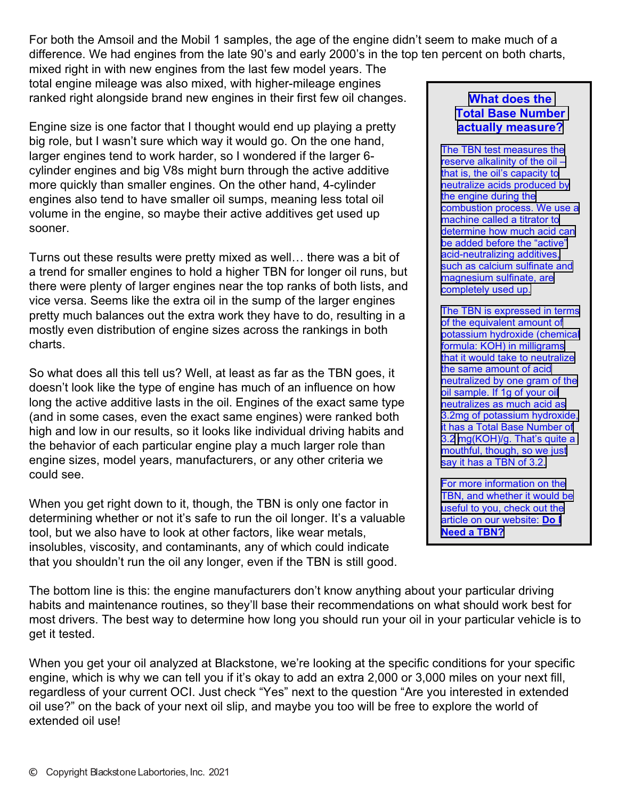For both the Amsoil and the Mobil 1 samples, the age of the engine didn't seem to make much of a difference. We had engines from the late 90's and early 2000's in the top ten percent on both charts,

mixed right in with new engines from the last few model years. The total engine mileage was also mixed, with higher-mileage engines ranked right alongside brand new engines in their first few oil changes.

Engine size is one factor that I thought would end up playing a pretty big role, but I wasn't sure which way it would go. On the one hand, larger engines tend to work harder, so I wondered if the larger 6 cylinder engines and big V8s might burn through the active additive more quickly than smaller engines. On the other hand, 4-cylinder engines also tend to have smaller oil sumps, meaning less total oil volume in the engine, so maybe their active additives get used up sooner.

Turns out these results were pretty mixed as well… there was a bit of a trend for smaller engines to hold a higher TBN for longer oil runs, but there were plenty of larger engines near the top ranks of both lists, and vice versa. Seems like the extra oil in the sump of the larger engines pretty much balances out the extra work they have to do, resulting in a mostly even distribution of engine sizes across the rankings in both charts.

So what does all this tell us? Well, at least as far as the TBN goes, it doesn't look like the type of engine has much of an influence on how long the active additive lasts in the oil. Engines of the exact same type (and in some cases, even the exact same engines) were ranked both high and low in our results, so it looks like individual driving habits and the behavior of each particular engine play a much larger role than engine sizes, model years, manufacturers, or any other criteria we could see.

When you get right down to it, though, the TBN is only one factor in determining whether or not it's safe to run the oil longer. It's a valuable tool, but we also have to look at other factors, like wear metals, insolubles, viscosity, and contaminants, any of which could indicate that you shouldn't run the oil any longer, even if the TBN is still good.

#### **[What does the](https://www.blackstone-labs.com/do-i-need-a-tbn/)  [Total Base Number](https://www.blackstone-labs.com/do-i-need-a-tbn/)  [actually measure?](https://www.blackstone-labs.com/do-i-need-a-tbn/)**

[The TBN test measures the](https://www.blackstone-labs.com/do-i-need-a-tbn/) [reserve alkalinity of the oil –](https://www.blackstone-labs.com/do-i-need-a-tbn/)  [that is, the oil's capacity to](https://www.blackstone-labs.com/do-i-need-a-tbn/)  [neutralize acids produced by](https://www.blackstone-labs.com/do-i-need-a-tbn/)  [the engine during the](https://www.blackstone-labs.com/do-i-need-a-tbn/) [combustion process. We use a](https://www.blackstone-labs.com/do-i-need-a-tbn/)  [machine called a titrator to](https://www.blackstone-labs.com/do-i-need-a-tbn/) [determine how much acid can](https://www.blackstone-labs.com/do-i-need-a-tbn/) [be added before the "active"](https://www.blackstone-labs.com/do-i-need-a-tbn/) [acid-neutralizing additives,](https://www.blackstone-labs.com/do-i-need-a-tbn/) [such as calcium sulfinate and](https://www.blackstone-labs.com/do-i-need-a-tbn/)  [magnesium sulfinate, are](https://www.blackstone-labs.com/do-i-need-a-tbn/)  [completely used up.](https://www.blackstone-labs.com/do-i-need-a-tbn/)

[The TBN is expressed in terms](https://www.blackstone-labs.com/do-i-need-a-tbn/)  [of the equivalent amount of](https://www.blackstone-labs.com/do-i-need-a-tbn/)  [potassium hydroxide \(chemical](https://www.blackstone-labs.com/do-i-need-a-tbn/) [formula: KOH\) in milligrams](https://www.blackstone-labs.com/do-i-need-a-tbn/) [that it would take to neutralize](https://www.blackstone-labs.com/do-i-need-a-tbn/)  [the same amount of acid](https://www.blackstone-labs.com/do-i-need-a-tbn/)  [neutralized by one gram of the](https://www.blackstone-labs.com/do-i-need-a-tbn/) [oil sample. If 1g of your oil](https://www.blackstone-labs.com/do-i-need-a-tbn/) [neutralizes as much acid as](https://www.blackstone-labs.com/do-i-need-a-tbn/)  [3.2mg of potassium hydroxide,](https://www.blackstone-labs.com/do-i-need-a-tbn/) [it has a Total Base Number of](https://www.blackstone-labs.com/do-i-need-a-tbn/) [3.2](https://www.blackstone-labs.com/do-i-need-a-tbn/) [mg\(KOH\)/g. That's quite a](https://www.blackstone-labs.com/do-i-need-a-tbn/)  [mouthful, though, so we just](https://www.blackstone-labs.com/do-i-need-a-tbn/)  [say it has a TBN of 3.2.](https://www.blackstone-labs.com/do-i-need-a-tbn/)

[For more information on the](https://www.blackstone-labs.com/do-i-need-a-tbn/)  [TBN, and whether it would be](https://www.blackstone-labs.com/do-i-need-a-tbn/) [useful to you, check out the](https://www.blackstone-labs.com/do-i-need-a-tbn/)  [article on our website:](https://www.blackstone-labs.com/do-i-need-a-tbn/) **Do I [Need a TBN?](https://www.blackstone-labs.com/do-i-need-a-tbn/)**

The bottom line is this: the engine manufacturers don't know anything about your particular driving habits and maintenance routines, so they'll base their recommendations on what should work best for most drivers. The best way to determine how long you should run your oil in your particular vehicle is to get it tested.

When you get your oil analyzed at Blackstone, we're looking at the specific conditions for your specific engine, which is why we can tell you if it's okay to add an extra 2,000 or 3,000 miles on your next fill, regardless of your current OCI. Just check "Yes" next to the question "Are you interested in extended oil use?" on the back of your next oil slip, and maybe you too will be free to explore the world of extended oil use!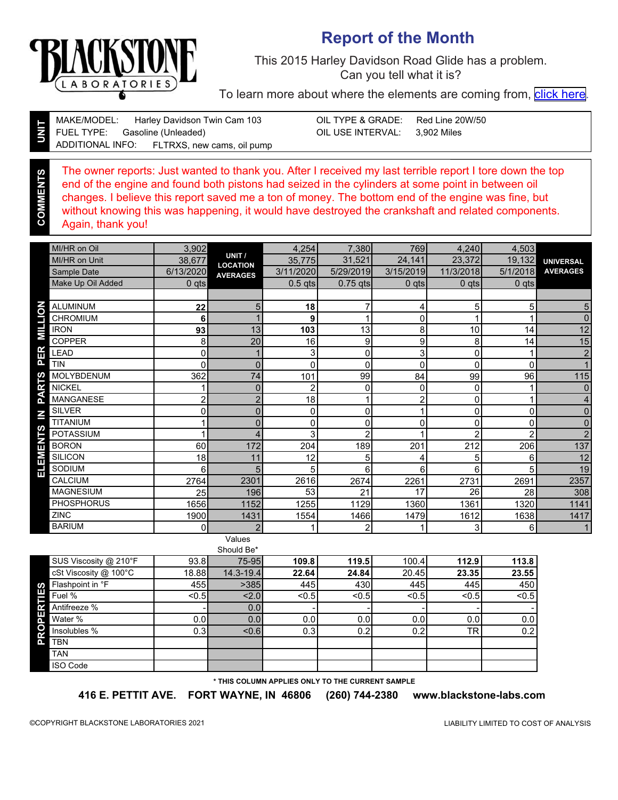

### **Report of the Month**

This 2015 Harley Davidson Road Glide has a problem. Can you tell what it is?

To learn more about where the elements are coming from, [click here.](https://www.blackstone-labs.com/services/report-explanation/)

**COM** 

Gasoline (Unleaded) Red Line 20W/50 Harley Davidson Twin Cam 103 3,902 Miles MAKE/MODEL: FUEL TYPE: ADDITIONAL INFO: OIL TYPE & GRADE: OIL USE INTERVAL: FLTRXS, new cams, oil pump

The owner reports: Just wanted to thank you. After I received my last terrible report I tore down the top end of the engine and found both pistons had seized in the cylinders at some point in between oil changes. I believe this report saved me a ton of money. The bottom end of the engine was fine, but without knowing this was happening, it would have destroyed the crankshaft and related components. Again, thank you!

|         | MI/HR on Oil      | 3,902          |                           | 4,254        | 7,380          | 769            | 4,240        | 4,503       |                  |
|---------|-------------------|----------------|---------------------------|--------------|----------------|----------------|--------------|-------------|------------------|
|         | MI/HR on Unit     | 38,677         | UNIT /<br><b>LOCATION</b> | 35,775       | 31,521         | 24,141         | 23,372       | 19,132      | <b>UNIVERSAL</b> |
|         | Sample Date       | 6/13/2020      | <b>AVERAGES</b>           | 3/11/2020    | 5/29/2019      | 3/15/2019      | 11/3/2018    | 5/1/2018    | <b>AVERAGES</b>  |
|         | Make Up Oil Added | $0$ qts        |                           | $0.5$ qts    | $0.75$ qts     | $0$ qts        | $0$ qts      | $0$ qts     |                  |
|         |                   |                |                           |              |                |                |              |             |                  |
| ō       | <b>ALUMINUM</b>   | 22             | 5                         | 18           |                | 4              | 5            | 5           | 5                |
| H       | <b>CHROMIUM</b>   | 6              |                           | 9            |                | 0              |              |             | 0                |
| ΠM      | <b>IRON</b>       | 93             | 13                        | 103          | 13             | 8              | 10           | 14          | 12               |
|         | <b>COPPER</b>     | 8              | 20                        | 16           | 9              | 9              | 8            | 14          | 15               |
| ER      | LEAD              | 0              |                           | 3            | 0              | $\overline{3}$ | 0            |             | $\boldsymbol{2}$ |
| Δ.      | <b>TIN</b>        | 0              | $\overline{0}$            | $\mathbf{0}$ | $\mathbf 0$    | $\mathbf 0$    | $\mathbf{0}$ | $\mathbf 0$ | $\mathbf{1}$     |
| rs      | <b>MOLYBDENUM</b> | 362            | 74                        | 101          | 99             | 84             | 99           | 96          | 115              |
| œ       | <b>NICKEL</b>     |                | 0                         | 2            | 0              | 0              | $\mathbf{0}$ |             | 0                |
| ∢<br>n. | <b>MANGANESE</b>  | $\overline{2}$ | $\overline{2}$            | 18           |                | $\overline{c}$ | 0            |             | $\overline{4}$   |
| Σ       | <b>SILVER</b>     | 0              | $\overline{0}$            | $\mathbf 0$  | $\mathbf 0$    |                | $\Omega$     | $\Omega$    | $\overline{0}$   |
|         | <b>TITANIUM</b>   |                | $\Omega$                  | $\mathbf{0}$ | 0              | $\mathbf 0$    | 0            | $\Omega$    | 0                |
| TS      | <b>POTASSIUM</b>  |                | 4                         | 3            | $\overline{2}$ |                | 2            | റ           | $\overline{2}$   |
| 몸       | <b>BORON</b>      | 60             | 172                       | 204          | 189            | 201            | 212          | 206         | 137              |
| МE      | <b>SILICON</b>    | 18             | 11                        | 12           | 5              | 4              | 5            | 6           | 12               |
| 出       | SODIUM            | 6              | 5                         | 5            | 6              | 6              | 6            | 5           | 19               |
|         | <b>CALCIUM</b>    | 2764           | 2301                      | 2616         | 2674           | 2261           | 2731         | 2691        | 2357             |
|         | <b>MAGNESIUM</b>  | 25             | 196                       | 53           | 21             | 17             | 26           | 28          | 308              |
|         | <b>PHOSPHORUS</b> | 1656           | 1152                      | 1255         | 1129           | 1360           | 1361         | 1320        | 1141             |
|         | <b>ZINC</b>       | 1900           | 1431                      | 1554         | 1466           | 1479           | 1612         | 1638        | 1417             |
|         | <b>BARIUM</b>     | 0              | $\overline{2}$            |              | $\overline{2}$ |                | 3            | 6           | 1                |
|         |                   |                |                           |              |                |                |              |             |                  |

#### Values Should Be\*

|                                  |       | onouru Du     |                  |       |       |                 |                |
|----------------------------------|-------|---------------|------------------|-------|-------|-----------------|----------------|
| SUS Viscosity @ 210°F            | 93.8  | 75-951        | 109.8            | 119.5 | 100.4 | 112.9           | 113.8          |
| cSt Viscosity @ 100°C            | 18.88 | $14.3 - 19.4$ | 22.64            | 24.84 | 20.45 | 23.35           | 23.55          |
| Flashpoint in °F<br>S            | 455I  | >385          | 445              | 430   | 445   | 445             | 450            |
| E<br>Fuel %                      | $0.5$ | 2.0           | < 0.5            | < 0.5 | < 0.5 | < 0.5           | < 0.5          |
| PER <sup>.</sup><br>Antifreeze % |       | 0.0           |                  |       |       |                 | $\blacksquare$ |
| Water %                          | 0.01  | 0.0           | 0.0 <sub>l</sub> | 0.0   | 0.0   | 0.0             | 0.0            |
| Q<br>Ƙ<br>Insolubles %           | 0.3   | < 0.61        | 0.3              | 0.2   | 0.2   | TR <sub>I</sub> | 0.2            |
| <b>TBN</b><br>Δ.                 |       |               |                  |       |       |                 |                |
| <b>TAN</b>                       |       |               |                  |       |       |                 |                |
| <b>ISO Code</b>                  |       |               |                  |       |       |                 |                |

**\* THIS COLUMN APPLIES ONLY TO THE CURRENT SAMPLE**

**416 E. PETTIT AVE. FORT WAYNE, IN 46806 (260) 744-2380 www.blackstone-labs.com**